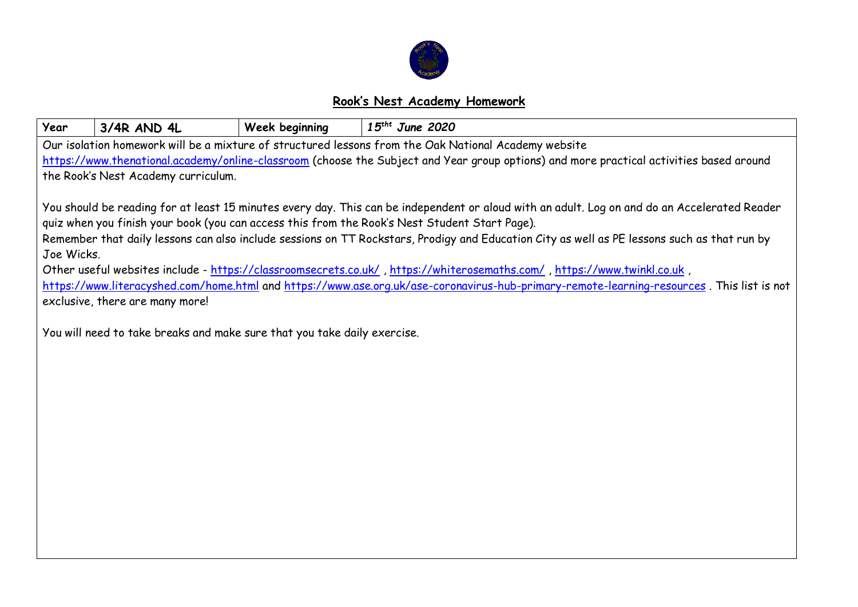

## **Rook's Nest Academy Homework**

| Year                                                                                                                                                                                                                                                                  | 3/4R AND 4L                     | Week beginning                                                           | $15$ <sup>tht</sup> June 2020 |  |  |  |  |  |  |
|-----------------------------------------------------------------------------------------------------------------------------------------------------------------------------------------------------------------------------------------------------------------------|---------------------------------|--------------------------------------------------------------------------|-------------------------------|--|--|--|--|--|--|
| Our isolation homework will be a mixture of structured lessons from the Oak National Academy website                                                                                                                                                                  |                                 |                                                                          |                               |  |  |  |  |  |  |
| https://www.thenational.academy/online-classroom (choose the Subject and Year group options) and more practical activities based around                                                                                                                               |                                 |                                                                          |                               |  |  |  |  |  |  |
| the Rook's Nest Academy curriculum.                                                                                                                                                                                                                                   |                                 |                                                                          |                               |  |  |  |  |  |  |
|                                                                                                                                                                                                                                                                       |                                 |                                                                          |                               |  |  |  |  |  |  |
| You should be reading for at least 15 minutes every day. This can be independent or aloud with an adult. Log on and do an Accelerated Reader                                                                                                                          |                                 |                                                                          |                               |  |  |  |  |  |  |
| quiz when you finish your book (you can access this from the Rook's Nest Student Start Page).                                                                                                                                                                         |                                 |                                                                          |                               |  |  |  |  |  |  |
| Remember that daily lessons can also include sessions on TT Rockstars, Prodigy and Education City as well as PE lessons such as that run by                                                                                                                           |                                 |                                                                          |                               |  |  |  |  |  |  |
| Joe Wicks.                                                                                                                                                                                                                                                            |                                 |                                                                          |                               |  |  |  |  |  |  |
| , Other useful websites include - https://classroomsecrets.co.uk/, https://whiterosemaths.com/, https://www.twinkl.co.uk<br>https://www.literacyshed.com/home.html and https://www.ase.org.uk/ase-coronavirus-hub-primary-remote-learning-resources. This list is not |                                 |                                                                          |                               |  |  |  |  |  |  |
|                                                                                                                                                                                                                                                                       | exclusive, there are many more! |                                                                          |                               |  |  |  |  |  |  |
|                                                                                                                                                                                                                                                                       |                                 |                                                                          |                               |  |  |  |  |  |  |
|                                                                                                                                                                                                                                                                       |                                 | You will need to take breaks and make sure that you take daily exercise. |                               |  |  |  |  |  |  |
|                                                                                                                                                                                                                                                                       |                                 |                                                                          |                               |  |  |  |  |  |  |
|                                                                                                                                                                                                                                                                       |                                 |                                                                          |                               |  |  |  |  |  |  |
|                                                                                                                                                                                                                                                                       |                                 |                                                                          |                               |  |  |  |  |  |  |
|                                                                                                                                                                                                                                                                       |                                 |                                                                          |                               |  |  |  |  |  |  |
|                                                                                                                                                                                                                                                                       |                                 |                                                                          |                               |  |  |  |  |  |  |
|                                                                                                                                                                                                                                                                       |                                 |                                                                          |                               |  |  |  |  |  |  |
|                                                                                                                                                                                                                                                                       |                                 |                                                                          |                               |  |  |  |  |  |  |
|                                                                                                                                                                                                                                                                       |                                 |                                                                          |                               |  |  |  |  |  |  |
|                                                                                                                                                                                                                                                                       |                                 |                                                                          |                               |  |  |  |  |  |  |
|                                                                                                                                                                                                                                                                       |                                 |                                                                          |                               |  |  |  |  |  |  |
|                                                                                                                                                                                                                                                                       |                                 |                                                                          |                               |  |  |  |  |  |  |
|                                                                                                                                                                                                                                                                       |                                 |                                                                          |                               |  |  |  |  |  |  |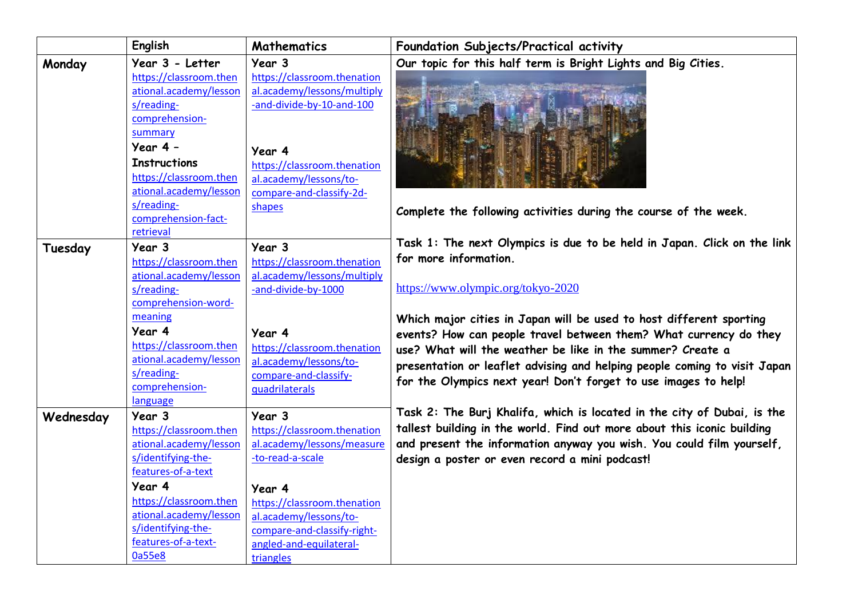|           | English                                          | <b>Mathematics</b>                                        | Foundation Subjects/Practical activity                                    |
|-----------|--------------------------------------------------|-----------------------------------------------------------|---------------------------------------------------------------------------|
| Monday    | Year 3 - Letter                                  | Year 3                                                    | Our topic for this half term is Bright Lights and Big Cities.             |
|           | https://classroom.then                           | https://classroom.thenation                               |                                                                           |
|           | ational.academy/lesson                           | al.academy/lessons/multiply                               |                                                                           |
|           | s/reading-                                       | -and-divide-by-10-and-100                                 |                                                                           |
|           | comprehension-                                   |                                                           |                                                                           |
|           | summary                                          |                                                           |                                                                           |
|           | Year $4 -$                                       | Year 4                                                    |                                                                           |
|           | <b>Instructions</b>                              | https://classroom.thenation                               |                                                                           |
|           | https://classroom.then                           | al.academy/lessons/to-                                    |                                                                           |
|           | ational.academy/lesson                           | compare-and-classify-2d-                                  |                                                                           |
|           | s/reading-                                       | shapes                                                    | Complete the following activities during the course of the week.          |
|           | comprehension-fact-                              |                                                           |                                                                           |
|           | retrieval                                        |                                                           |                                                                           |
| Tuesday   | Year 3                                           | Year 3                                                    | Task 1: The next Olympics is due to be held in Japan. Click on the link   |
|           | https://classroom.then                           | https://classroom.thenation                               | for more information.                                                     |
|           | ational.academy/lesson                           | al.academy/lessons/multiply                               |                                                                           |
|           | s/reading-                                       | -and-divide-by-1000                                       | https://www.olympic.org/tokyo-2020                                        |
|           | comprehension-word-                              |                                                           |                                                                           |
|           | meaning                                          |                                                           | Which major cities in Japan will be used to host different sporting       |
|           | Year 4                                           | Year 4                                                    | events? How can people travel between them? What currency do they         |
|           | https://classroom.then                           | https://classroom.thenation                               | use? What will the weather be like in the summer? Create a                |
|           | ational.academy/lesson                           | al.academy/lessons/to-                                    | presentation or leaflet advising and helping people coming to visit Japan |
|           | s/reading-                                       | compare-and-classify-                                     | for the Olympics next year! Don't forget to use images to help!           |
|           | comprehension-                                   | quadrilaterals                                            |                                                                           |
|           | language                                         |                                                           | Task 2: The Burj Khalifa, which is located in the city of Dubai, is the   |
| Wednesday | Year 3                                           | Year 3                                                    | tallest building in the world. Find out more about this iconic building   |
|           | https://classroom.then<br>ational.academy/lesson | https://classroom.thenation<br>al.academy/lessons/measure |                                                                           |
|           | s/identifying-the-                               | -to-read-a-scale                                          | and present the information anyway you wish. You could film yourself,     |
|           | features-of-a-text                               |                                                           | design a poster or even record a mini podcast!                            |
|           | Year 4                                           |                                                           |                                                                           |
|           | https://classroom.then                           | Year 4                                                    |                                                                           |
|           | ational.academy/lesson                           | https://classroom.thenation                               |                                                                           |
|           | s/identifying-the-                               | al.academy/lessons/to-                                    |                                                                           |
|           | features-of-a-text-                              | compare-and-classify-right-<br>angled-and-equilateral-    |                                                                           |
|           | 0a55e8                                           |                                                           |                                                                           |
|           |                                                  | triangles                                                 |                                                                           |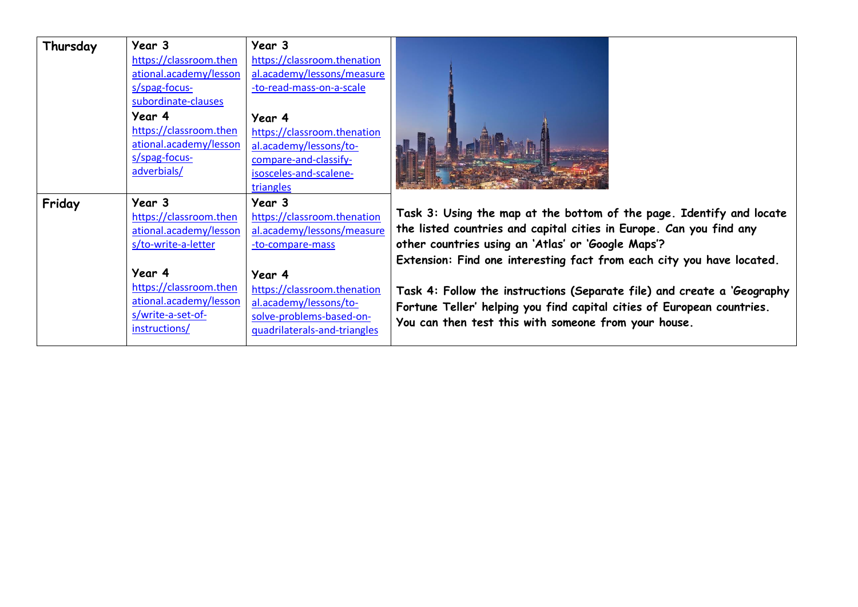| Thursday | Year 3                 | Year 3                       |                                                                         |
|----------|------------------------|------------------------------|-------------------------------------------------------------------------|
|          | https://classroom.then | https://classroom.thenation  |                                                                         |
|          | ational.academy/lesson | al.academy/lessons/measure   |                                                                         |
|          | s/spag-focus-          | -to-read-mass-on-a-scale     |                                                                         |
|          | subordinate-clauses    |                              |                                                                         |
|          | Year 4                 | Year 4                       |                                                                         |
|          | https://classroom.then | https://classroom.thenation  |                                                                         |
|          | ational.academy/lesson | al.academy/lessons/to-       |                                                                         |
|          | s/spag-focus-          | compare-and-classify-        |                                                                         |
|          | adverbials/            | isosceles-and-scalene-       |                                                                         |
|          |                        | triangles                    |                                                                         |
| Friday   | Year 3                 | Year 3                       |                                                                         |
|          | https://classroom.then | https://classroom.thenation  | Task 3: Using the map at the bottom of the page. Identify and locate    |
|          | ational.academy/lesson | al.academy/lessons/measure   | the listed countries and capital cities in Europe. Can you find any     |
|          | s/to-write-a-letter    | -to-compare-mass             | other countries using an 'Atlas' or 'Google Maps'?                      |
|          |                        |                              | Extension: Find one interesting fact from each city you have located.   |
|          | Year 4                 | Year 4                       |                                                                         |
|          | https://classroom.then | https://classroom.thenation  | Task 4: Follow the instructions (Separate file) and create a 'Geography |
|          | ational.academy/lesson | al.academy/lessons/to-       | Fortune Teller' helping you find capital cities of European countries.  |
|          | s/write-a-set-of-      | solve-problems-based-on-     | You can then test this with someone from your house.                    |
|          | instructions/          | quadrilaterals-and-triangles |                                                                         |
|          |                        |                              |                                                                         |